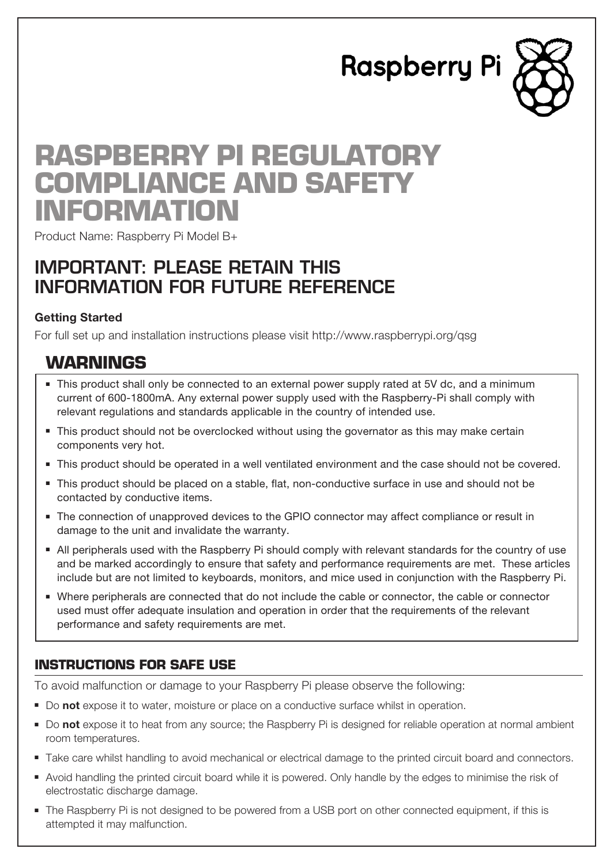**Raspberry Pi** 



# **Raspberry Pi Regulatory Compliance and Safety Information**

Product Name: Raspberry Pi Model B+

# IMPORTANT: PLEASE RETAIN THIS INFORMATION FOR FUTURE REFERENCE

#### **Getting Started**

For full set up and installation instructions please visit http://www.raspberrypi.org/qsg

## **Warnings**

- <sup>n</sup> This product shall only be connected to an external power supply rated at 5V dc, and a minimum current of 600-1800mA. Any external power supply used with the Raspberry-Pi shall comply with relevant regulations and standards applicable in the country of intended use.
- $\blacksquare$  This product should not be overclocked without using the governator as this may make certain components very hot.
- <sup>n</sup> This product should be operated in a well ventilated environment and the case should not be covered.
- <sup>n</sup> This product should be placed on a stable, flat, non-conductive surface in use and should not be contacted by conductive items.
- <sup>n</sup> The connection of unapproved devices to the GPIO connector may affect compliance or result in damage to the unit and invalidate the warranty.
- <sup>n</sup> All peripherals used with the Raspberry Pi should comply with relevant standards for the country of use and be marked accordingly to ensure that safety and performance requirements are met. These articles include but are not limited to keyboards, monitors, and mice used in conjunction with the Raspberry Pi.
- <sup>n</sup> Where peripherals are connected that do not include the cable or connector, the cable or connector used must offer adequate insulation and operation in order that the requirements of the relevant performance and safety requirements are met.

### **Instructions for safe use**

To avoid malfunction or damage to your Raspberry Pi please observe the following:

- <sup>n</sup> Do **not** expose it to water, moisture or place on a conductive surface whilst in operation.
- <sup>n</sup> Do **not** expose it to heat from any source; the Raspberry Pi is designed for reliable operation at normal ambient room temperatures.
- <sup>n</sup> Take care whilst handling to avoid mechanical or electrical damage to the printed circuit board and connectors.
- <sup>n</sup> Avoid handling the printed circuit board while it is powered. Only handle by the edges to minimise the risk of electrostatic discharge damage.
- <sup>n</sup> The Raspberry Pi is not designed to be powered from a USB port on other connected equipment, if this is attempted it may malfunction.